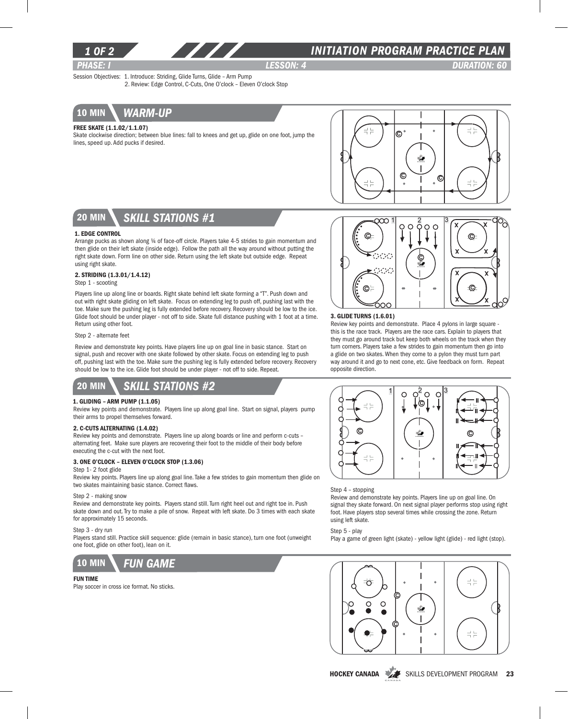

### *1 of 2 INITIATION program PRACTICE PLAN*

*PHASE: I lesson: 4 DURATION: 60*  Session Objectives: 1. Introduce: Striding, Glide Turns, Glide – Arm Pump

2. Review: Edge Control, C-Cuts, One O'clock – Eleven O'clock Stop



#### Free Skate (1.1.02/1.1.07)

Skate clockwise direction; between blue lines: fall to knees and get up, glide on one foot, jump the lines, speed up. Add pucks if desired.



# 20 min *skill stations #1*

#### 1. Edge Control

Arrange pucks as shown along 1/4 of face-off circle. Players take 4-5 strides to gain momentum and then glide on their left skate (inside edge). Follow the path all the way around without putting the right skate down. Form line on other side. Return using the left skate but outside edge. Repeat using right skate.

#### 2. Striding (1.3.01/1.4.12)

Step 1 - scooting

Players line up along line or boards. Right skate behind left skate forming a "T". Push down and out with right skate gliding on left skate. Focus on extending leg to push off, pushing last with the toe. Make sure the pushing leg is fully extended before recovery. Recovery should be low to the ice. Glide foot should be under player - not off to side. Skate full distance pushing with 1 foot at a time. Return using other foot.

#### Step 2 - alternate feet

Review and demonstrate key points. Have players line up on goal line in basic stance. Start on signal, push and recover with one skate followed by other skate. Focus on extending leg to push off, pushing last with the toe. Make sure the pushing leg is fully extended before recovery. Recovery should be low to the ice. Glide foot should be under player - not off to side. Repeat.

# 20 min *skill stations #2*

#### 1. Gliding – Arm Pump (1.1.05)

Review key points and demonstrate. Players line up along goal line. Start on signal, players pump their arms to propel themselves forward.

#### 2. C-Cuts Alternating (1.4.02)

Review key points and demonstrate. Players line up along boards or line and perform c-cuts – alternating feet. Make sure players are recovering their foot to the middle of their body before executing the c-cut with the next foot.

#### 3. One O'clock – Eleven O'clock Stop (1.3.06)

#### Step 1- 2 foot glide

Review key points. Players line up along goal line. Take a few strides to gain momentum then glide on two skates maintaining basic stance. Correct flaws.

#### Step 2 - making snow

Review and demonstrate key points. Players stand still. Turn right heel out and right toe in. Push skate down and out. Try to make a pile of snow. Repeat with left skate. Do 3 times with each skate for approximately 15 seconds.

#### Step 3 - dry run

Players stand still. Practice skill sequence: glide (remain in basic stance), turn one foot (unweight one foot, glide on other foot), lean on it.



#### Fun Time

Play soccer in cross ice format. No sticks.



#### 3. Glide Turns (1.6.01)

Review key points and demonstrate. Place 4 pylons in large square this is the race track. Players are the race cars. Explain to players that they must go around track but keep both wheels on the track when they turn corners. Players take a few strides to gain momentum then go into a glide on two skates. When they come to a pylon they must turn part way around it and go to next cone, etc. Give feedback on form. Repeat opposite direction.



#### Step 4 – stopping

Review and demonstrate key points. Players line up on goal line. On signal they skate forward. On next signal player performs stop using right foot. Have players stop several times while crossing the zone. Return using left skate.

Step 5 - play

Play a game of green light (skate) - yellow light (glide) - red light (stop).



HOCKEY CANADA SKILLS DEVELOPMENT PROGRAM 23